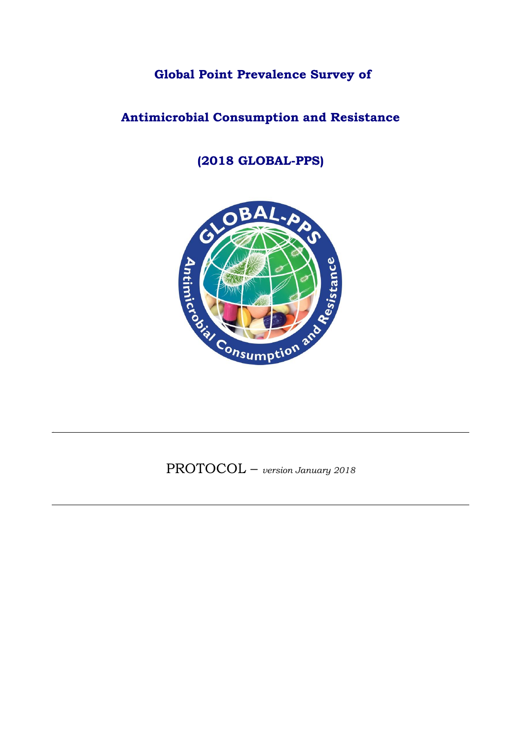**Global Point Prevalence Survey of** 

# **Antimicrobial Consumption and Resistance**

# **(2018 GLOBAL-PPS)**



PROTOCOL – *version January <sup>2018</sup>*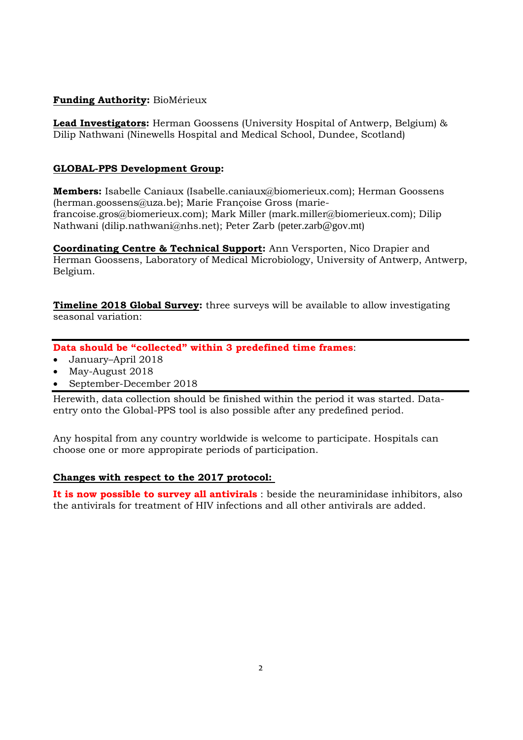#### **Funding Authority:** BioMérieux

**Lead Investigators:** Herman Goossens (University Hospital of Antwerp, Belgium) & Dilip Nathwani (Ninewells Hospital and Medical School, Dundee, Scotland)

#### **GLOBAL-PPS Development Group:**

**Members:** Isabelle Caniaux [\(Isabelle.caniaux@biomerieux.com\)](mailto:Isabelle.caniaux@biomerieux.com); Herman Goossens [\(herman.goossens@uza.be\)](mailto:herman.goossens@uza.be); Marie Françoise Gross [\(marie](mailto:marie-francoise.gros@biomerieux.com)[francoise.gros@biomerieux.com\)](mailto:marie-francoise.gros@biomerieux.com); Mark Miller [\(mark.miller@biomerieux.com\)](mailto:mark.miller@biomerieux.com); Dilip Nathwani [\(dilip.nathwani@nhs.net\)](mailto:dilip.nathwani@nhs.net); Peter Zarb (peter.zarb@gov.mt)

**Coordinating Centre & Technical Support:** Ann Versporten, Nico Drapier and Herman Goossens, Laboratory of Medical Microbiology, University of Antwerp, Antwerp, Belgium.

**Timeline 2018 Global Survey:** three surveys will be available to allow investigating seasonal variation:

**Data should be "collected" within 3 predefined time frames**:

- January–April 2018
- May-August 2018
- September-December 2018

Herewith, data collection should be finished within the period it was started. Dataentry onto the Global-PPS tool is also possible after any predefined period.

Any hospital from any country worldwide is welcome to participate. Hospitals can choose one or more appropirate periods of participation.

#### **Changes with respect to the 2017 protocol:**

**It is now possible to survey all antivirals** : beside the neuraminidase inhibitors, also the antivirals for treatment of HIV infections and all other antivirals are added.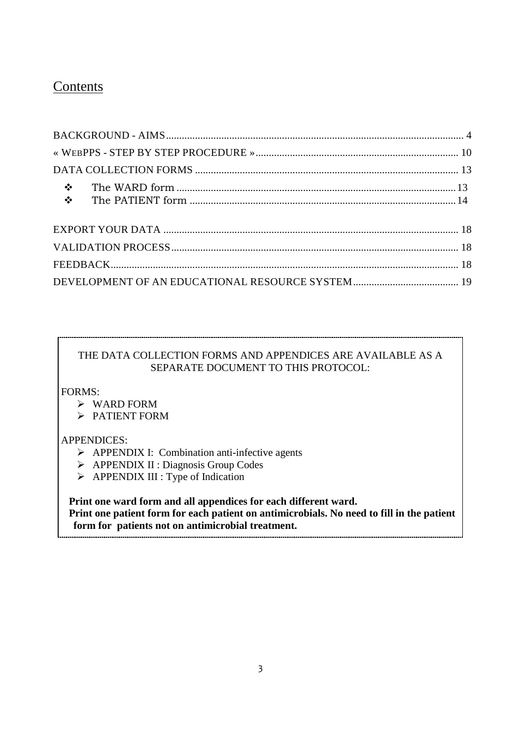# **Contents**

### THE DATA COLLECTION FORMS AND APPENDICES ARE AVAILABLE AS A SEPARATE DOCUMENT TO THIS PROTOCOL:

FORMS:

- WARD FORM
- > PATIENT FORM

### APPENDICES:

- > APPENDIX I: Combination anti-infective agents
- > APPENDIX II : Diagnosis Group Codes
- > APPENDIX III : Type of Indication

 **Print one ward form and all appendices for each different ward. Print one patient form for each patient on antimicrobials. No need to fill in the patient form for patients not on antimicrobial treatment.**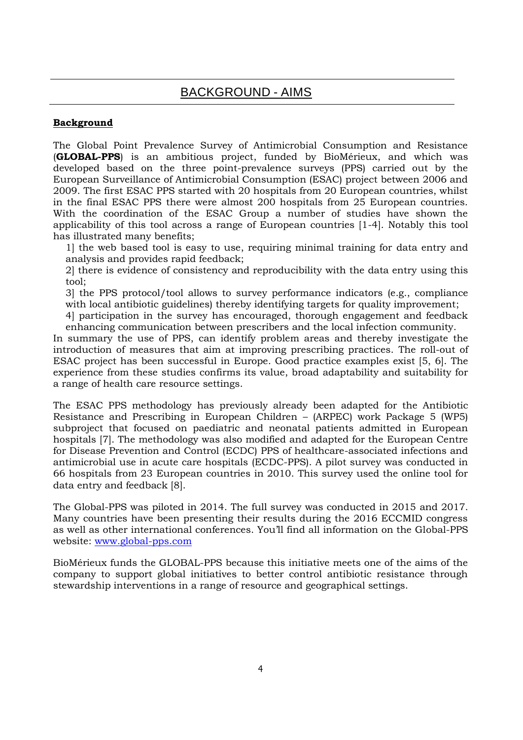#### <span id="page-3-0"></span>**Background**

The Global Point Prevalence Survey of Antimicrobial Consumption and Resistance (**GLOBAL-PPS**) is an ambitious project, funded by BioMérieux, and which was developed based on the three point-prevalence surveys (PPS) carried out by the European Surveillance of Antimicrobial Consumption (ESAC) project between 2006 and 2009. The first ESAC PPS started with 20 hospitals from 20 European countries, whilst in the final ESAC PPS there were almost 200 hospitals from 25 European countries. With the coordination of the ESAC Group a number of studies have shown the applicability of this tool across a range of European countries [1-4]. Notably this tool has illustrated many benefits;

1] the web based tool is easy to use, requiring minimal training for data entry and analysis and provides rapid feedback;

2] there is evidence of consistency and reproducibility with the data entry using this tool;

3] the PPS protocol/tool allows to survey performance indicators (e.g., compliance with local antibiotic guidelines) thereby identifying targets for quality improvement;

4] participation in the survey has encouraged, thorough engagement and feedback enhancing communication between prescribers and the local infection community.

In summary the use of PPS, can identify problem areas and thereby investigate the introduction of measures that aim at improving prescribing practices. The roll-out of ESAC project has been successful in Europe. Good practice examples exist [5, 6]. The experience from these studies confirms its value, broad adaptability and suitability for a range of health care resource settings.

The ESAC PPS methodology has previously already been adapted for the Antibiotic Resistance and Prescribing in European Children – (ARPEC) work Package 5 (WP5) subproject that focused on paediatric and neonatal patients admitted in European hospitals [7]. The methodology was also modified and adapted for the European Centre for Disease Prevention and Control (ECDC) PPS of healthcare-associated infections and antimicrobial use in acute care hospitals (ECDC-PPS). A pilot survey was conducted in 66 hospitals from 23 European countries in 2010. This survey used the online tool for data entry and feedback [8].

The Global-PPS was piloted in 2014. The full survey was conducted in 2015 and 2017. Many countries have been presenting their results during the 2016 ECCMID congress as well as other international conferences. You'll find all information on the Global-PPS website: [www.global-pps.com](http://www.global-pps.com/)

BioMérieux funds the GLOBAL-PPS because this initiative meets one of the aims of the company to support global initiatives to better control antibiotic resistance through stewardship interventions in a range of resource and geographical settings.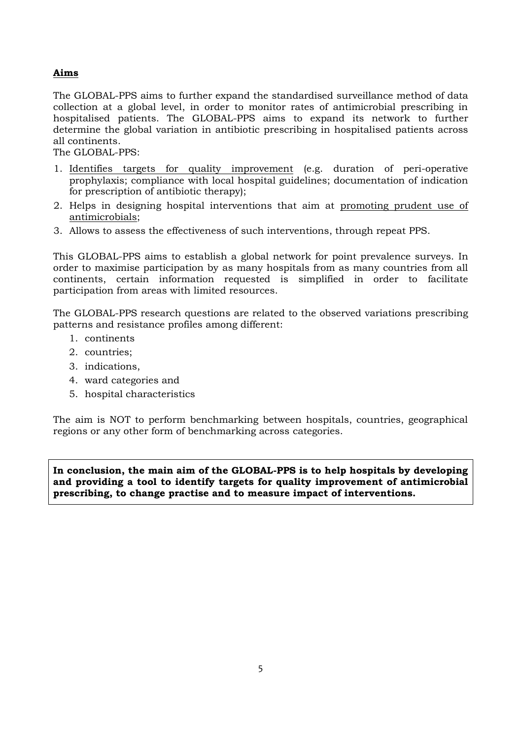#### **Aims**

The GLOBAL-PPS aims to further expand the standardised surveillance method of data collection at a global level, in order to monitor rates of antimicrobial prescribing in hospitalised patients. The GLOBAL-PPS aims to expand its network to further determine the global variation in antibiotic prescribing in hospitalised patients across all continents.

The GLOBAL-PPS:

- 1. Identifies targets for quality improvement (e.g. duration of peri-operative prophylaxis; compliance with local hospital guidelines; documentation of indication for prescription of antibiotic therapy);
- 2. Helps in designing hospital interventions that aim at promoting prudent use of antimicrobials;
- 3. Allows to assess the effectiveness of such interventions, through repeat PPS.

This GLOBAL-PPS aims to establish a global network for point prevalence surveys. In order to maximise participation by as many hospitals from as many countries from all continents, certain information requested is simplified in order to facilitate participation from areas with limited resources.

The GLOBAL-PPS research questions are related to the observed variations prescribing patterns and resistance profiles among different:

- 1. continents
- 2. countries;
- 3. indications,
- 4. ward categories and
- 5. hospital characteristics

The aim is NOT to perform benchmarking between hospitals, countries, geographical regions or any other form of benchmarking across categories.

**In conclusion, the main aim of the GLOBAL-PPS is to help hospitals by developing and providing a tool to identify targets for quality improvement of antimicrobial prescribing, to change practise and to measure impact of interventions.**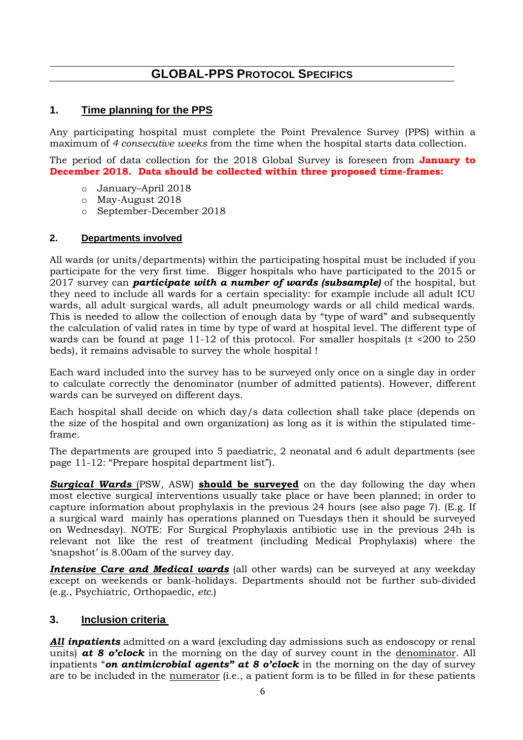## **GLOBAL-PPS PROTOCOL SPECIFICS**

### **1. Time planning for the PPS**

Any participating hospital must complete the Point Prevalence Survey (PPS) within a maximum of *4 consecutive weeks* from the time when the hospital starts data collection.

The period of data collection for the 2018 Global Survey is foreseen from **January to December 2018. Data should be collected within three proposed time-frames:**

- o January–April 2018
- o May-August 2018
- o September-December 2018

#### **2. Departments involved**

All wards (or units/departments) within the participating hospital must be included if you participate for the very first time. Bigger hospitals who have participated to the 2015 or 2017 survey can *participate with a number of wards (subsample)* of the hospital, but they need to include all wards for a certain speciality: for example include all adult ICU wards, all adult surgical wards, all adult pneumology wards or all child medical wards. This is needed to allow the collection of enough data by "type of ward" and subsequently the calculation of valid rates in time by type of ward at hospital level. The different type of wards can be found at page 11-12 of this protocol. For smaller hospitals  $(±  $200$  to 250$ beds), it remains advisable to survey the whole hospital !

Each ward included into the survey has to be surveyed only once on a single day in order to calculate correctly the denominator (number of admitted patients). However, different wards can be surveyed on different days.

Each hospital shall decide on which day/s data collection shall take place (depends on the size of the hospital and own organization) as long as it is within the stipulated timeframe.

The departments are grouped into 5 paediatric, 2 neonatal and 6 adult departments (see page 11-12: "Prepare hospital department list").

**Surgical Wards** (PSW, ASW) **should be surveyed** on the day following the day when most elective surgical interventions usually take place or have been planned; in order to capture information about prophylaxis in the previous 24 hours (see also page 7). (E.g. If a surgical ward mainly has operations planned on Tuesdays then it should be surveyed on Wednesday). NOTE: For Surgical Prophylaxis antibiotic use in the previous 24h is relevant not like the rest of treatment (including Medical Prophylaxis) where the 'snapshot' is 8.00am of the survey day.

**Intensive Care and Medical wards** (all other wards) can be surveyed at any weekday except on weekends or bank-holidays. Departments should not be further sub-divided (e.g., Psychiatric, Orthopaedic, *etc.*)

### **3. Inclusion criteria**

*All inpatients* admitted on a ward (excluding day admissions such as endoscopy or renal units) *at 8 o'clock* in the morning on the day of survey count in the denominator. All inpatients "*on antimicrobial agents" at 8 o'clock* in the morning on the day of survey are to be included in the numerator (i.e., a patient form is to be filled in for these patients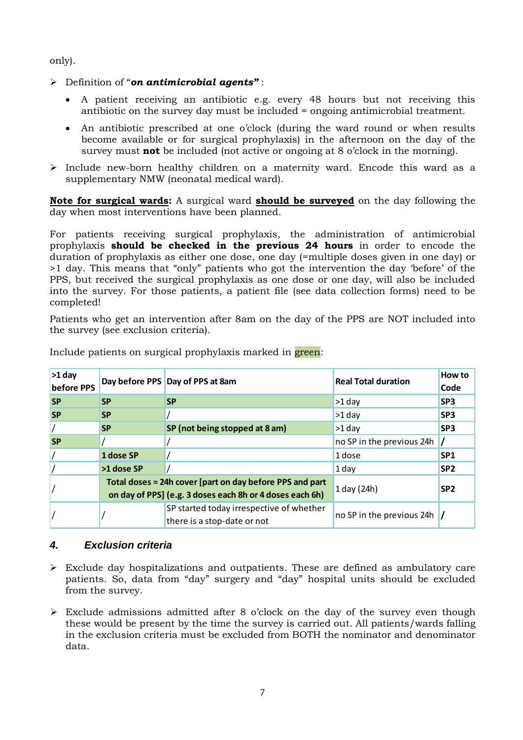only).

- Definition of "*on antimicrobial agents"* :
	- A patient receiving an antibiotic e.g. every 48 hours but not receiving this antibiotic on the survey day must be included = ongoing antimicrobial treatment.
	- An antibiotic prescribed at one o'clock (during the ward round or when results become available or for surgical prophylaxis) in the afternoon on the day of the survey must **not** be included (not active or ongoing at 8 o'clock in the morning).
- $\triangleright$  Include new-born healthy children on a maternity ward. Encode this ward as a supplementary NMW (neonatal medical ward).

**Note for surgical wards:** A surgical ward **should be surveyed** on the day following the day when most interventions have been planned.

For patients receiving surgical prophylaxis, the administration of antimicrobial prophylaxis **should be checked in the previous 24 hours** in order to encode the duration of prophylaxis as either one dose, one day (=multiple doses given in one day) or >1 day. This means that "only" patients who got the intervention the day 'before' of the PPS, but received the surgical prophylaxis as one dose or one day, will also be included into the survey. For those patients, a patient file (see data collection forms) need to be completed!

Patients who get an intervention after 8am on the day of the PPS are NOT included into the survey (see exclusion criteria).

| $>1$ day<br>before PPS |                                                                                                                      | Day before PPS Day of PPS at 8am                                        | <b>Real Total duration</b> | <b>How to</b><br>Code |
|------------------------|----------------------------------------------------------------------------------------------------------------------|-------------------------------------------------------------------------|----------------------------|-----------------------|
| <b>SP</b>              | <b>SP</b>                                                                                                            | <b>SP</b>                                                               | $>1$ day                   | SP <sub>3</sub>       |
| <b>SP</b>              | <b>SP</b>                                                                                                            |                                                                         | $>1$ day                   | SP <sub>3</sub>       |
|                        | <b>SP</b>                                                                                                            | SP (not being stopped at 8 am)                                          | $>1$ day                   | SP <sub>3</sub>       |
| <b>SP</b>              |                                                                                                                      |                                                                         | no SP in the previous 24h  |                       |
|                        | 1 dose SP                                                                                                            |                                                                         | 1 dose                     | SP <sub>1</sub>       |
|                        | >1 dose SP                                                                                                           |                                                                         | 1 day                      | SP <sub>2</sub>       |
|                        | Total doses = 24h cover [part on day before PPS and part<br>on day of PPS] (e.g. 3 doses each 8h or 4 doses each 6h) |                                                                         | 1 day (24h)                | SP <sub>2</sub>       |
|                        |                                                                                                                      | SP started today irrespective of whether<br>there is a stop-date or not | no SP in the previous 24h  |                       |

Include patients on surgical prophylaxis marked in green:

### *4. Exclusion criteria*

- Exclude day hospitalizations and outpatients. These are defined as ambulatory care patients. So, data from "day" surgery and "day" hospital units should be excluded from the survey.
- $\triangleright$  Exclude admissions admitted after 8 o'clock on the day of the survey even though these would be present by the time the survey is carried out. All patients/wards falling in the exclusion criteria must be excluded from BOTH the nominator and denominator data.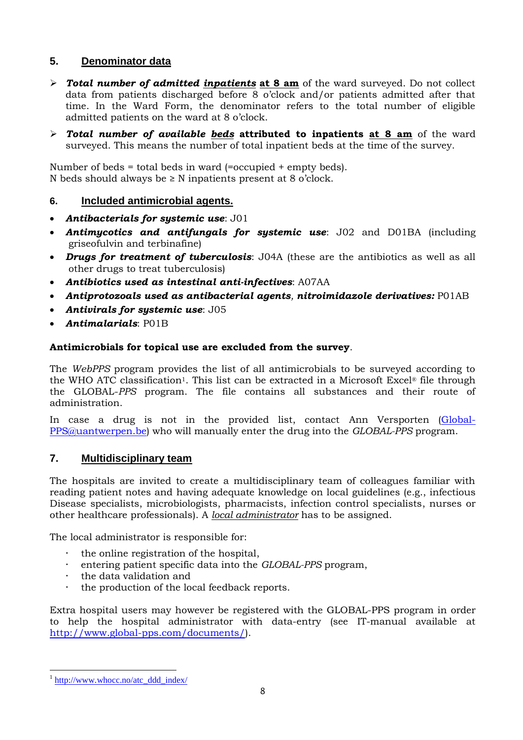### **5. Denominator data**

- *Total number of admitted inpatients* **at 8 am** of the ward surveyed. Do not collect data from patients discharged before 8 o'clock and/or patients admitted after that time. In the Ward Form, the denominator refers to the total number of eligible admitted patients on the ward at 8 o'clock.
- *Total number of available beds* **attributed to inpatients at 8 am** of the ward surveyed. This means the number of total inpatient beds at the time of the survey.

Number of beds = total beds in ward (=occupied + empty beds). N beds should always be ≥ N inpatients present at 8 o'clock.

### **6. Included antimicrobial agents.**

- *Antibacterials for systemic use*: J01
- *Antimycotics and antifungals for systemic use*: J02 and D01BA (including griseofulvin and terbinafine)
- *Drugs for treatment of tuberculosis*: J04A (these are the antibiotics as well as all other drugs to treat tuberculosis)
- *Antibiotics used as intestinal anti-infectives*: A07AA
- *Antiprotozoals used as antibacterial agents, nitroimidazole derivatives:* P01AB
- *Antivirals for systemic use*: J05
- *Antimalarials*: P01B

#### **Antimicrobials for topical use are excluded from the survey**.

The *WebPPS* program provides the list of all antimicrobials to be surveyed according to the WHO ATC classification<sup>1</sup>. This list can be extracted in a Microsoft Excel<sup>®</sup> file through the GLOBAL-*PPS* program. The file contains all substances and their route of administration.

In case a drug is not in the provided list, contact Ann Versporten [\(Global-](mailto:Global-PPS@uantwerpen.be)[PPS@uantwerpen.be\)](mailto:Global-PPS@uantwerpen.be) who will manually enter the drug into the *GLOBAL-PPS* program.

### **7. Multidisciplinary team**

The hospitals are invited to create a multidisciplinary team of colleagues familiar with reading patient notes and having adequate knowledge on local guidelines (e.g., infectious Disease specialists, microbiologists, pharmacists, infection control specialists, nurses or other healthcare professionals). A *local administrator* has to be assigned.

The local administrator is responsible for:

- the online registration of the hospital,
- entering patient specific data into the *GLOBAL-PPS* program,
- the data validation and
- the production of the local feedback reports.

Extra hospital users may however be registered with the GLOBAL-PPS program in order to help the hospital administrator with data-entry (see IT-manual available at [http://www.global-pps.com/documents/\)](http://www.global-pps.com/documents/).

1

<sup>&</sup>lt;sup>1</sup> [http://www.whocc.no/atc\\_ddd\\_index/](http://www.whocc.no/atc_ddd_index/)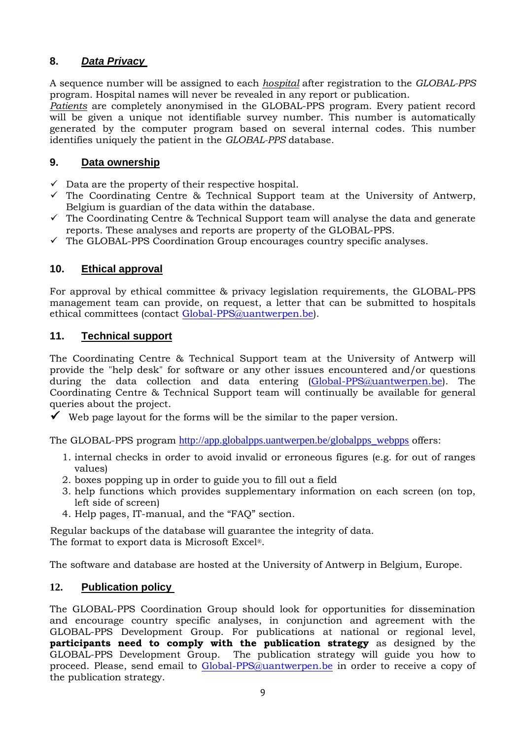### **8.** *Data Privacy*

A sequence number will be assigned to each *hospital* after registration to the *GLOBAL-PPS*  program. Hospital names will never be revealed in any report or publication.

*Patients* are completely anonymised in the GLOBAL-PPS program. Every patient record will be given a unique not identifiable survey number. This number is automatically generated by the computer program based on several internal codes. This number identifies uniquely the patient in the *GLOBAL-PPS* database.

### **9. Data ownership**

- $\checkmark$  Data are the property of their respective hospital.
- $\checkmark$  The Coordinating Centre & Technical Support team at the University of Antwerp, Belgium is guardian of the data within the database.
- $\checkmark$  The Coordinating Centre & Technical Support team will analyse the data and generate reports. These analyses and reports are property of the GLOBAL-PPS.
- $\checkmark$  The GLOBAL-PPS Coordination Group encourages country specific analyses.

### **10. Ethical approval**

For approval by ethical committee & privacy legislation requirements, the GLOBAL-PPS management team can provide, on request, a letter that can be submitted to hospitals ethical committees (contact [Global-PPS@uantwerpen.be\)](mailto:Global-PPS@uantwerpen.be).

### **11. Technical support**

The Coordinating Centre & Technical Support team at the University of Antwerp will provide the "help desk" for software or any other issues encountered and/or questions during the data collection and data entering [\(Global-PPS@uantwerpen.be\)](mailto:Global-PPS@uantwerpen.be). The Coordinating Centre & Technical Support team will continually be available for general queries about the project.

 $\checkmark$  Web page layout for the forms will be the similar to the paper version.

The GLOBAL-PPS program [http://app.globalpps.uantwerpen.be/globalpps\\_webpps](http://app.globalpps.uantwerpen.be/globalpps_webpps) offers:

- 1. internal checks in order to avoid invalid or erroneous figures (e.g. for out of ranges values)
- 2. boxes popping up in order to guide you to fill out a field
- 3. help functions which provides supplementary information on each screen (on top, left side of screen)
- 4. Help pages, IT-manual, and the "FAQ" section.

Regular backups of the database will guarantee the integrity of data. The format to export data is Microsoft Excel®.

The software and database are hosted at the University of Antwerp in Belgium, Europe.

### **12. Publication policy**

The GLOBAL-PPS Coordination Group should look for opportunities for dissemination and encourage country specific analyses, in conjunction and agreement with the GLOBAL-PPS Development Group. For publications at national or regional level, **participants need to comply with the publication strategy** as designed by the GLOBAL-PPS Development Group. The publication strategy will guide you how to proceed. Please, send email to [Global-PPS@uantwerpen.be](mailto:Global-PPS@uantwerpen.be) in order to receive a copy of the publication strategy.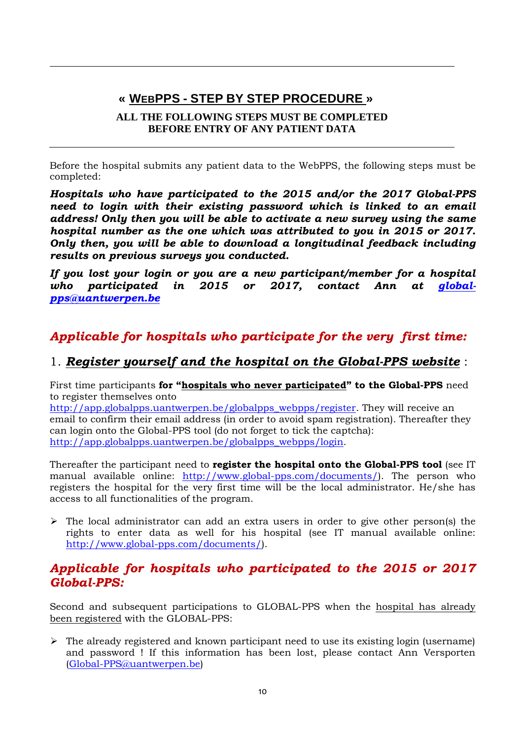# <span id="page-9-0"></span>**« WEBPPS - STEP BY STEP PROCEDURE »**

### **ALL THE FOLLOWING STEPS MUST BE COMPLETED BEFORE ENTRY OF ANY PATIENT DATA**

Before the hospital submits any patient data to the WebPPS, the following steps must be completed:

*Hospitals who have participated to the 2015 and/or the 2017 Global-PPS need to login with their existing password which is linked to an email address! Only then you will be able to activate a new survey using the same hospital number as the one which was attributed to you in 2015 or 2017. Only then, you will be able to download a longitudinal feedback including results on previous surveys you conducted.*

*If you lost your login or you are a new participant/member for a hospital*  who participated in 2015 or 2017, contact Ann at *global[pps@uantwerpen.be](mailto:global-pps@uantwerpen.be)*

# *Applicable for hospitals who participate for the very first time:*

### 1. *Register yourself and the hospital on the Global-PPS website* :

First time participants **for "hospitals who never participated" to the Global-PPS** need to register themselves onto

[http://app.globalpps.uantwerpen.be/globalpps\\_webpps/register.](http://app.globalpps.uantwerpen.be/globalpps_webpps/register) They will receive an email to confirm their email address (in order to avoid spam registration). Thereafter they can login onto the Global-PPS tool (do not forget to tick the captcha): [http://app.globalpps.uantwerpen.be/globalpps\\_webpps/login.](http://app.globalpps.uantwerpen.be/globalpps_webpps/login)

Thereafter the participant need to **register the hospital onto the Global-PPS tool** (see IT manual available online: [http://www.global-pps.com/documents/\)](http://www.global-pps.com/documents/). The person who registers the hospital for the very first time will be the local administrator. He/she has access to all functionalities of the program.

 $\triangleright$  The local administrator can add an extra users in order to give other person(s) the rights to enter data as well for his hospital (see IT manual available online: [http://www.global-pps.com/documents/\)](http://www.global-pps.com/documents/).

## *Applicable for hospitals who participated to the 2015 or 2017 Global-PPS:*

Second and subsequent participations to GLOBAL-PPS when the hospital has already been registered with the GLOBAL-PPS:

 $\triangleright$  The already registered and known participant need to use its existing login (username) and password ! If this information has been lost, please contact Ann Versporten [\(Global-PPS@uantwerpen.be\)](mailto:Global-PPS@uantwerpen.be)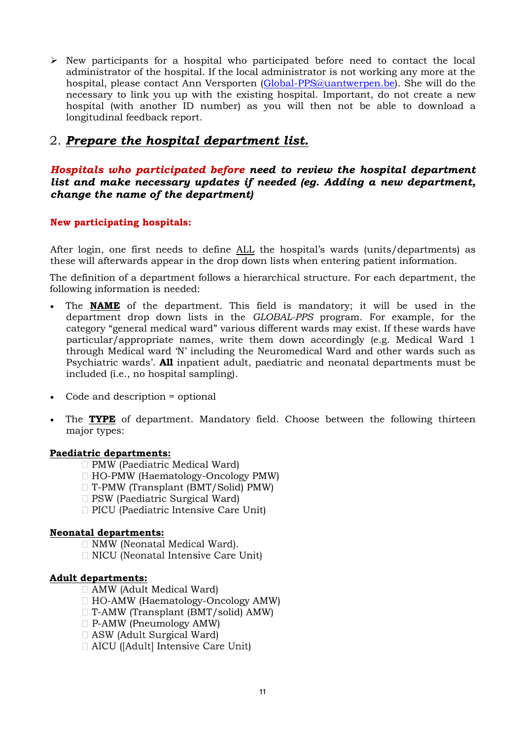$\triangleright$  New participants for a hospital who participated before need to contact the local administrator of the hospital. If the local administrator is not working any more at the hospital, please contact Ann Versporten [\(Global-PPS@uantwerpen.be\)](mailto:Global-PPS@uantwerpen.be). She will do the necessary to link you up with the existing hospital. Important, do not create a new hospital (with another ID number) as you will then not be able to download a longitudinal feedback report.

## <span id="page-10-0"></span>2. *Prepare the hospital department list.*

### *Hospitals who participated before need to review the hospital department list and make necessary updates if needed (eg. Adding a new department, change the name of the department)*

### **New participating hospitals:**

After login, one first needs to define ALL the hospital's wards (units/departments) as these will afterwards appear in the drop down lists when entering patient information.

The definition of a department follows a hierarchical structure. For each department, the following information is needed:

- The **NAME** of the department. This field is mandatory; it will be used in the department drop down lists in the *GLOBAL-PPS* program. For example, for the category "general medical ward" various different wards may exist. If these wards have particular/appropriate names, write them down accordingly (e.g. Medical Ward 1 through Medical ward 'N' including the Neuromedical Ward and other wards such as Psychiatric wards'. **All** inpatient adult, paediatric and neonatal departments must be included (i.e., no hospital sampling).
- Code and description = optional
- The **TYPE** of department. Mandatory field. Choose between the following thirteen major types:

#### **Paediatric departments:**

- $\Box$  PMW (Paediatric Medical Ward)
- $\Box$  HO-PMW (Haematology-Oncology PMW)
- T-PMW (Transplant (BMT/Solid) PMW)
- □ PSW (Paediatric Surgical Ward)
- D PICU (Paediatric Intensive Care Unit)

#### **Neonatal departments:**

- □ NMW (Neonatal Medical Ward).
- $\Box$  NICU (Neonatal Intensive Care Unit)

#### **Adult departments:**

- $\Box$  AMW (Adult Medical Ward)
- $\Box$  HO-AMW (Haematology-Oncology AMW)
- $\Box$  T-AMW (Transplant (BMT/solid) AMW)
- $\Box$  P-AMW (Pneumology AMW)
- $\Box$  ASW (Adult Surgical Ward)
- $\Box$  AICU ([Adult] Intensive Care Unit)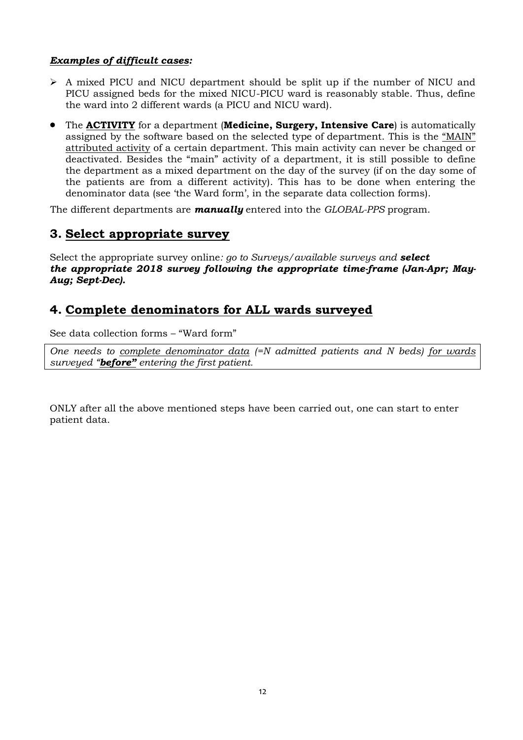### *Examples of difficult cases:*

- $\triangleright$  A mixed PICU and NICU department should be split up if the number of NICU and PICU assigned beds for the mixed NICU-PICU ward is reasonably stable. Thus, define the ward into 2 different wards (a PICU and NICU ward).
- The **ACTIVITY** for a department (**Medicine, Surgery, Intensive Care**) is automatically assigned by the software based on the selected type of department. This is the "MAIN" attributed activity of a certain department. This main activity can never be changed or deactivated. Besides the "main" activity of a department, it is still possible to define the department as a mixed department on the day of the survey (if on the day some of the patients are from a different activity). This has to be done when entering the denominator data (see 'the Ward form', in the separate data collection forms).

The different departments are *manually* entered into the *GLOBAL-PPS* program.

### **3. Select appropriate survey**

Select the appropriate survey online*: go to Surveys/available surveys and select the appropriate 2018 survey following the appropriate time-frame (Jan-Apr; May-Aug; Sept-Dec).*

## **4. Complete denominators for ALL wards surveyed**

See data collection forms – "Ward form"

*One needs to complete denominator data (=N admitted patients and N beds) for wards surveyed "before" entering the first patient.* 

ONLY after all the above mentioned steps have been carried out, one can start to enter patient data*.*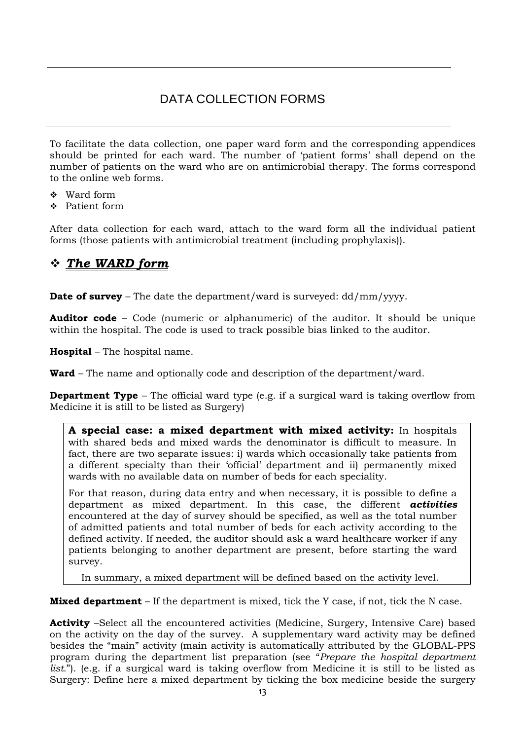# DATA COLLECTION FORMS

<span id="page-12-0"></span>To facilitate the data collection, one paper ward form and the corresponding appendices should be printed for each ward. The number of 'patient forms' shall depend on the number of patients on the ward who are on antimicrobial therapy. The forms correspond to the online web forms.

- ❖ Ward form
- Patient form

After data collection for each ward, attach to the ward form all the individual patient forms (those patients with antimicrobial treatment (including prophylaxis)).

## <span id="page-12-1"></span>*The WARD form*

**Date of survey** – The date the department/ward is surveyed: dd/mm/yyyy.

**Auditor code** – Code (numeric or alphanumeric) of the auditor. It should be unique within the hospital. The code is used to track possible bias linked to the auditor.

**Hospital** – The hospital name.

**Ward** – The name and optionally code and description of the department/ward.

**Department Type** – The official ward type (e.g. if a surgical ward is taking overflow from Medicine it is still to be listed as Surgery)

**A special case: a mixed department with mixed activity:** In hospitals with shared beds and mixed wards the denominator is difficult to measure. In fact, there are two separate issues: i) wards which occasionally take patients from a different specialty than their 'official' department and ii) permanently mixed wards with no available data on number of beds for each speciality.

For that reason, during data entry and when necessary, it is possible to define a department as mixed department. In this case, the different *activities* encountered at the day of survey should be specified, as well as the total number of admitted patients and total number of beds for each activity according to the defined activity. If needed, the auditor should ask a ward healthcare worker if any patients belonging to another department are present, before starting the ward survey.

In summary, a mixed department will be defined based on the activity level.

**Mixed department** – If the department is mixed, tick the Y case, if not, tick the N case.

**Activity** –Select all the encountered activities (Medicine, Surgery, Intensive Care) based on the activity on the day of the survey. A supplementary ward activity may be defined besides the "main" activity (main activity is automatically attributed by the GLOBAL-PPS program during the department list preparation (see "*[Prepare the hospital department](#page-10-0)  [list.](#page-10-0)*"). (e.g. if a surgical ward is taking overflow from Medicine it is still to be listed as Surgery: Define here a mixed department by ticking the box medicine beside the surgery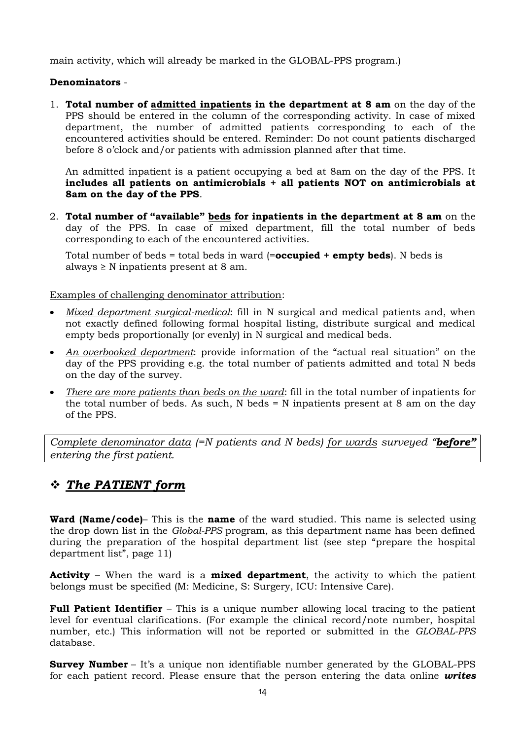main activity, which will already be marked in the GLOBAL-PPS program.)

#### **Denominators** -

1. **Total number of admitted inpatients in the department at 8 am** on the day of the PPS should be entered in the column of the corresponding activity. In case of mixed department, the number of admitted patients corresponding to each of the encountered activities should be entered. Reminder: Do not count patients discharged before 8 o'clock and/or patients with admission planned after that time.

An admitted inpatient is a patient occupying a bed at 8am on the day of the PPS. It **includes all patients on antimicrobials + all patients NOT on antimicrobials at 8am on the day of the PPS**.

2. **Total number of "available" beds for inpatients in the department at 8 am** on the day of the PPS. In case of mixed department, fill the total number of beds corresponding to each of the encountered activities.

Total number of beds = total beds in ward (=**occupied + empty beds**). N beds is always  $\geq$  N inpatients present at 8 am.

Examples of challenging denominator attribution:

- *Mixed department surgical-medical*: fill in N surgical and medical patients and, when not exactly defined following formal hospital listing, distribute surgical and medical empty beds proportionally (or evenly) in N surgical and medical beds.
- *An overbooked department*: provide information of the "actual real situation" on the day of the PPS providing e.g. the total number of patients admitted and total N beds on the day of the survey.
- *There are more patients than beds on the ward*: fill in the total number of inpatients for the total number of beds. As such, N beds = N inpatients present at 8 am on the day of the PPS.

*Complete denominator data (=N patients and N beds) for wards surveyed "before" entering the first patient.* 

## <span id="page-13-0"></span>*The PATIENT form*

**Ward (Name/code)**– This is the **name** of the ward studied. This name is selected using the drop down list in the *Global-PPS* program, as this department name has been defined during the preparation of the hospital department list (see step "prepare the hospital department list", page 11)

**Activity** – When the ward is a **mixed department**, the activity to which the patient belongs must be specified (M: Medicine, S: Surgery, ICU: Intensive Care).

**Full Patient Identifier** – This is a unique number allowing local tracing to the patient level for eventual clarifications. (For example the clinical record/note number, hospital number, etc.) This information will not be reported or submitted in the *GLOBAL-PPS* database.

**Survey Number** – It's a unique non identifiable number generated by the GLOBAL-PPS for each patient record. Please ensure that the person entering the data online *writes*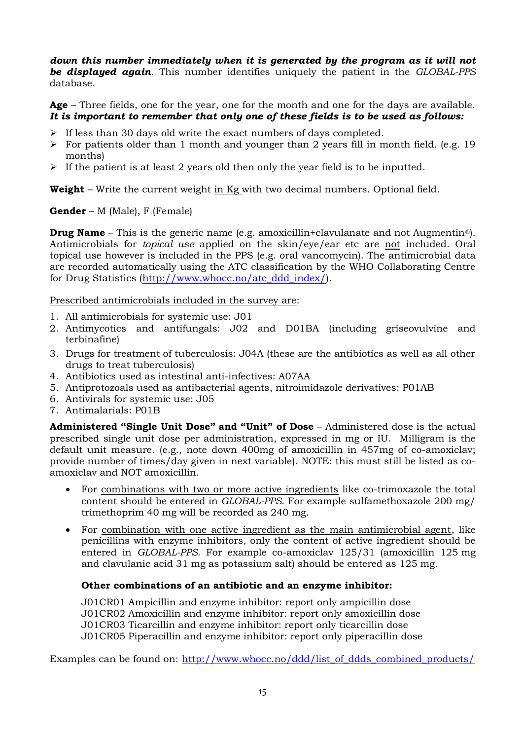*down this number immediately when it is generated by the program as it will not be displayed again*. This number identifies uniquely the patient in the *GLOBAL-PPS* database.

Age – Three fields, one for the year, one for the month and one for the days are available. *It is important to remember that only one of these fields is to be used as follows:*

- $\triangleright$  If less than 30 days old write the exact numbers of days completed.
- $\triangleright$  For patients older than 1 month and younger than 2 years fill in month field. (e.g. 19) months)
- $\triangleright$  If the patient is at least 2 years old then only the year field is to be inputted.

**Weight** – Write the current weight in Kg with two decimal numbers. Optional field.

**Gender** – M (Male), F (Female)

**Drug Name** – This is the generic name (e.g. amoxicillin+clavulanate and not Augmentin<sup>®</sup>). Antimicrobials for *topical use* applied on the skin/eye/ear etc are not included. Oral topical use however is included in the PPS (e.g. oral vancomycin). The antimicrobial data are recorded automatically using the ATC classification by the WHO Collaborating Centre for Drug Statistics [\(http://www.whocc.no/atc\\_ddd\\_index/\)](http://www.whocc.no/atc_ddd_index/).

Prescribed antimicrobials included in the survey are:

- 1. All antimicrobials for systemic use: J01
- 2. Antimycotics and antifungals: J02 and D01BA (including griseovulvine and terbinafine)
- 3. Drugs for treatment of tuberculosis: J04A (these are the antibiotics as well as all other drugs to treat tuberculosis)
- 4. Antibiotics used as intestinal anti-infectives: A07AA
- 5. Antiprotozoals used as antibacterial agents, nitroimidazole derivatives: P01AB
- 6. Antivirals for systemic use: J05
- 7. Antimalarials: P01B

**Administered "Single Unit Dose" and "Unit" of Dose** – Administered dose is the actual prescribed single unit dose per administration, expressed in mg or IU. Milligram is the default unit measure. (e.g., note down 400mg of amoxicillin in 457mg of co-amoxiclav; provide number of times/day given in next variable). NOTE: this must still be listed as coamoxiclav and NOT amoxicillin.

- For combinations with two or more active ingredients like co-trimoxazole the total content should be entered in *GLOBAL-PPS*. For example sulfamethoxazole 200 mg/ trimethoprim 40 mg will be recorded as 240 mg.
- For combination with one active ingredient as the main antimicrobial agent, like penicillins with enzyme inhibitors, only the content of active ingredient should be entered in *GLOBAL-PPS*. For example co-amoxiclav 125/31 (amoxicillin 125 mg and clavulanic acid 31 mg as potassium salt) should be entered as 125 mg.

### **Other combinations of an antibiotic and an enzyme inhibitor:**

J01CR01 Ampicillin and enzyme inhibitor: report only ampicillin dose J01CR02 Amoxicillin and enzyme inhibitor: report only amoxicillin dose J01CR03 Ticarcillin and enzyme inhibitor: report only ticarcillin dose J01CR05 Piperacillin and enzyme inhibitor: report only piperacillin dose

Examples can be found on: [http://www.whocc.no/ddd/list\\_of\\_ddds\\_combined\\_products/](http://www.whocc.no/ddd/list_of_ddds_combined_products/)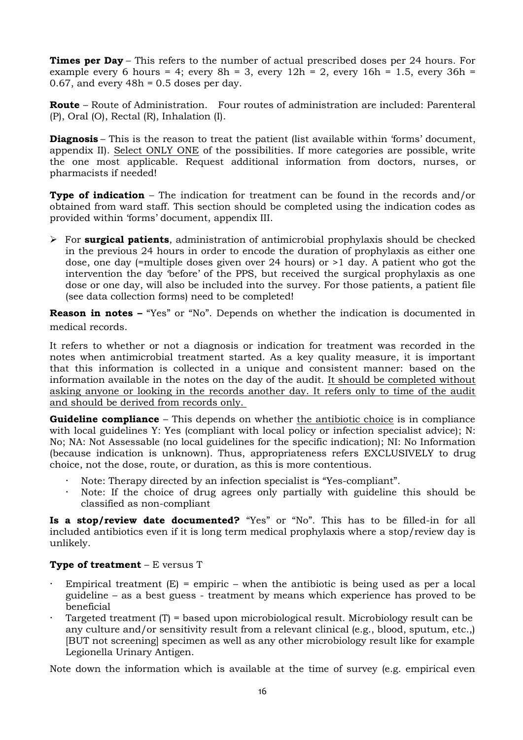**Times per Day** – This refers to the number of actual prescribed doses per 24 hours. For example every 6 hours = 4; every  $8h = 3$ , every  $12h = 2$ , every  $16h = 1.5$ , every  $36h =$ 0.67, and every  $48h = 0.5$  doses per day.

**Route** – Route of Administration.Four routes of administration are included: Parenteral (P), Oral (O), Rectal (R), Inhalation (I).

**Diagnosis** – This is the reason to treat the patient (list available within 'forms' document, appendix II). Select ONLY ONE of the possibilities. If more categories are possible, write the one most applicable. Request additional information from doctors, nurses, or pharmacists if needed!

**Type of indication** – The indication for treatment can be found in the records and/or obtained from ward staff. This section should be completed using the indication codes as provided within 'forms' document, appendix III.

 For **surgical patients**, administration of antimicrobial prophylaxis should be checked in the previous 24 hours in order to encode the duration of prophylaxis as either one dose, one day (=multiple doses given over 24 hours) or >1 day. A patient who got the intervention the day 'before' of the PPS, but received the surgical prophylaxis as one dose or one day, will also be included into the survey. For those patients, a patient file (see data collection forms) need to be completed!

**Reason in notes – "Yes" or "No". Depends on whether the indication is documented in** medical records.

It refers to whether or not a diagnosis or indication for treatment was recorded in the notes when antimicrobial treatment started. As a key quality measure, it is important that this information is collected in a unique and consistent manner: based on the information available in the notes on the day of the audit. It should be completed without asking anyone or looking in the records another day. It refers only to time of the audit and should be derived from records only.

**Guideline compliance** – This depends on whether the antibiotic choice is in compliance with local guidelines Y: Yes (compliant with local policy or infection specialist advice); N: No; NA: Not Assessable (no local guidelines for the specific indication); NI: No Information (because indication is unknown). Thus, appropriateness refers EXCLUSIVELY to drug choice, not the dose, route, or duration, as this is more contentious.

- Note: Therapy directed by an infection specialist is "Yes-compliant".
- Note: If the choice of drug agrees only partially with guideline this should be classified as non-compliant

**Is a stop/review date documented?** "Yes" or "No". This has to be filled-in for all included antibiotics even if it is long term medical prophylaxis where a stop/review day is unlikely.

### **Type of treatment** – E versus T

- Empirical treatment  $(E)$  = empiric when the antibiotic is being used as per a local guideline – as a best guess - treatment by means which experience has proved to be beneficial
- Targeted treatment (T) = based upon microbiological result. Microbiology result can be any culture and/or sensitivity result from a relevant clinical (e.g., blood, sputum, etc.,) [BUT not screening] specimen as well as any other microbiology result like for example Legionella Urinary Antigen.

Note down the information which is available at the time of survey (e.g. empirical even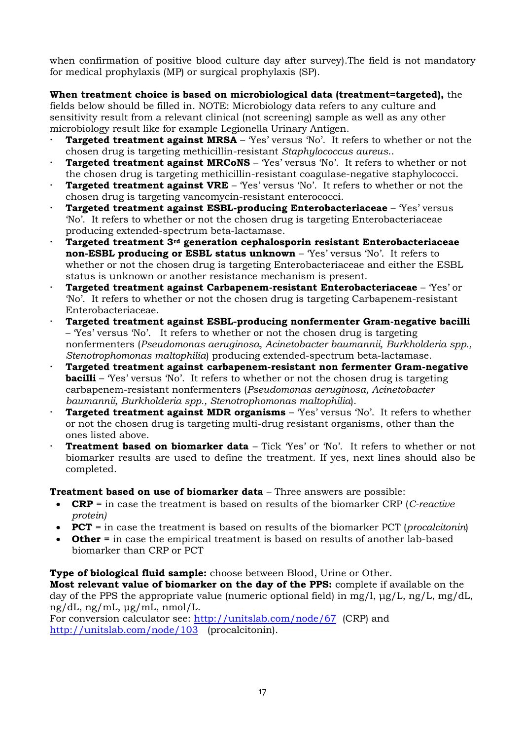when confirmation of positive blood culture day after survey).The field is not mandatory for medical prophylaxis (MP) or surgical prophylaxis (SP).

### **When treatment choice is based on microbiological data (treatment=targeted),** the

fields below should be filled in. NOTE: Microbiology data refers to any culture and sensitivity result from a relevant clinical (not screening) sample as well as any other microbiology result like for example Legionella Urinary Antigen.

- **Targeted treatment against MRSA** 'Yes' versus 'No'. It refers to whether or not the chosen drug is targeting methicillin-resistant *Staphylococcus aureus*..
- **Targeted treatment against MRCoNS**  'Yes' versus 'No'. It refers to whether or not the chosen drug is targeting methicillin-resistant coagulase-negative staphylococci.
- **Targeted treatment against VRE** 'Yes' versus 'No'. It refers to whether or not the chosen drug is targeting vancomycin-resistant enterococci.
- **Targeted treatment against ESBL-producing Enterobacteriaceae**  'Yes' versus 'No'. It refers to whether or not the chosen drug is targeting Enterobacteriaceae producing extended-spectrum beta-lactamase.
- **Targeted treatment 3rd generation cephalosporin resistant Enterobacteriaceae non-ESBL producing or ESBL status unknown** – 'Yes' versus 'No'. It refers to whether or not the chosen drug is targeting Enterobacteriaceae and either the ESBL status is unknown or another resistance mechanism is present.
- **Targeted treatment against Carbapenem-resistant Enterobacteriaceae**  'Yes' or 'No'. It refers to whether or not the chosen drug is targeting Carbapenem-resistant Enterobacteriaceae.
- **Targeted treatment against ESBL-producing nonfermenter Gram-negative bacilli** – 'Yes' versus 'No'. It refers to whether or not the chosen drug is targeting nonfermenters (*Pseudomonas aeruginosa, Acinetobacter baumannii, Burkholderia spp., Stenotrophomonas maltophilia*) producing extended-spectrum beta-lactamase.
- **Targeted treatment against carbapenem-resistant non fermenter Gram-negative bacilli** – 'Yes' versus 'No'. It refers to whether or not the chosen drug is targeting carbapenem-resistant nonfermenters (*Pseudomonas aeruginosa, Acinetobacter baumannii, Burkholderia spp., Stenotrophomonas maltophilia*).
- **Targeted treatment against MDR organisms**  'Yes' versus 'No'. It refers to whether or not the chosen drug is targeting multi-drug resistant organisms, other than the ones listed above.
- **Treatment based on biomarker data** Tick 'Yes' or 'No'. It refers to whether or not biomarker results are used to define the treatment. If yes, next lines should also be completed.

**Treatment based on use of biomarker data** – Three answers are possible:

- **CRP** = in case the treatment is based on results of the biomarker CRP (*C-reactive protein)*
- **PCT** = in case the treatment is based on results of the biomarker PCT (*procalcitonin*)
- **Other =** in case the empirical treatment is based on results of another lab-based biomarker than CRP or PCT

**Type of biological fluid sample:** choose between Blood, Urine or Other.

**Most relevant value of biomarker on the day of the PPS:** complete if available on the day of the PPS the appropriate value (numeric optional field) in mg/l, μg/L, ng/L, mg/dL, ng/dL, ng/mL, μg/mL, nmol/L.

For conversion calculator see:<http://unitslab.com/node/67>(CRP) and <http://unitslab.com/node/103>(procalcitonin).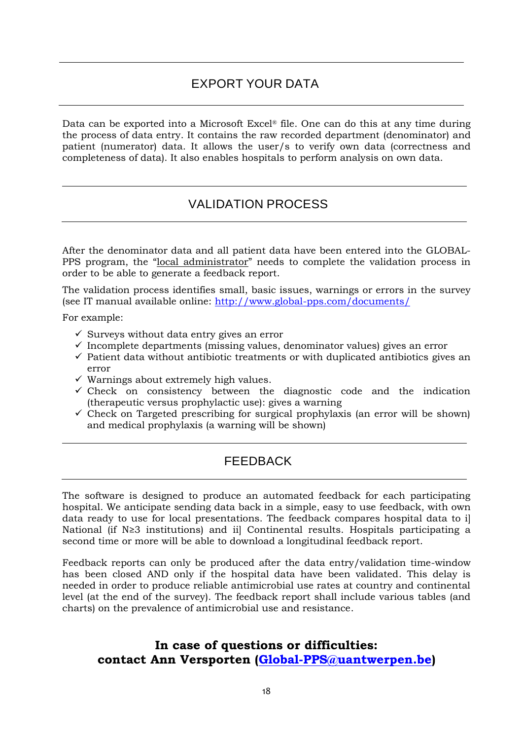# EXPORT YOUR DATA

<span id="page-17-0"></span>Data can be exported into a Microsoft Excel® file. One can do this at any time during the process of data entry. It contains the raw recorded department (denominator) and patient (numerator) data. It allows the user/s to verify own data (correctness and completeness of data). It also enables hospitals to perform analysis on own data.

## <span id="page-17-1"></span>VALIDATION PROCESS

After the denominator data and all patient data have been entered into the GLOBAL-PPS program, the "local administrator" needs to complete the validation process in order to be able to generate a feedback report.

The validation process identifies small, basic issues, warnings or errors in the survey (see IT manual available online:<http://www.global-pps.com/documents/>

For example:

- $\checkmark$  Surveys without data entry gives an error
- $\checkmark$  Incomplete departments (missing values, denominator values) gives an error
- $\checkmark$  Patient data without antibiotic treatments or with duplicated antibiotics gives an error
- $\checkmark$  Warnings about extremely high values.
- $\checkmark$  Check on consistency between the diagnostic code and the indication (therapeutic versus prophylactic use): gives a warning
- $\checkmark$  Check on Targeted prescribing for surgical prophylaxis (an error will be shown) and medical prophylaxis (a warning will be shown)

## <span id="page-17-2"></span>FEEDBACK

The software is designed to produce an automated feedback for each participating hospital. We anticipate sending data back in a simple, easy to use feedback, with own data ready to use for local presentations. The feedback compares hospital data to i] National (if N≥3 institutions) and ii] Continental results. Hospitals participating a second time or more will be able to download a longitudinal feedback report.

Feedback reports can only be produced after the data entry/validation time-window has been closed AND only if the hospital data have been validated. This delay is needed in order to produce reliable antimicrobial use rates at country and continental level (at the end of the survey). The feedback report shall include various tables (and charts) on the prevalence of antimicrobial use and resistance.

## **In case of questions or difficulties: contact Ann Versporten [\(Global-PPS@uantwerpen.be\)](mailto:Global-PPS@uantwerpen.be)**